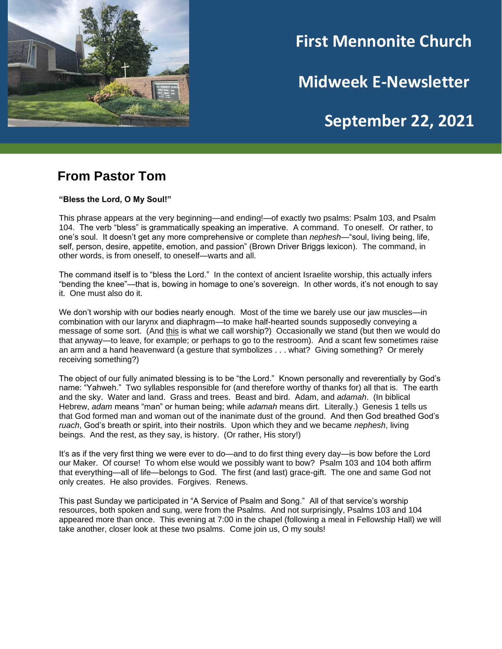

# **First Mennonite Church**

**Midweek E-Newsletter**

## **September 22, 2021**

**202120212021**

### **From Pastor Tom**

**"Bless the Lord, O My Soul!"**

This phrase appears at the very beginning—and ending!—of exactly two psalms: Psalm 103, and Psalm 104. The verb "bless" is grammatically speaking an imperative. A command. To oneself. Or rather, to one's soul. It doesn't get any more comprehensive or complete than *nephesh*—"soul, living being, life, self, person, desire, appetite, emotion, and passion" (Brown Driver Briggs lexicon). The command, in other words, is from oneself, to oneself—warts and all.

The command itself is to "bless the Lord." In the context of ancient Israelite worship, this actually infers "bending the knee"—that is, bowing in homage to one's sovereign. In other words, it's not enough to say it. One must also do it.

We don't worship with our bodies nearly enough. Most of the time we barely use our jaw muscles—in combination with our larynx and diaphragm—to make half-hearted sounds supposedly conveying a message of some sort. (And this is what we call worship?) Occasionally we stand (but then we would do that anyway—to leave, for example; or perhaps to go to the restroom). And a scant few sometimes raise an arm and a hand heavenward (a gesture that symbolizes . . . what? Giving something? Or merely receiving something?)

The object of our fully animated blessing is to be "the Lord." Known personally and reverentially by God's name: "Yahweh." Two syllables responsible for (and therefore worthy of thanks for) all that is. The earth and the sky. Water and land. Grass and trees. Beast and bird. Adam, and *adamah*. (In biblical Hebrew, *adam* means "man" or human being; while *adamah* means dirt. Literally.) Genesis 1 tells us that God formed man and woman out of the inanimate dust of the ground. And then God breathed God's *ruach*, God's breath or spirit, into their nostrils. Upon which they and we became *nephesh*, living beings. And the rest, as they say, is history. (Or rather, His story!)

It's as if the very first thing we were ever to do—and to do first thing every day—is bow before the Lord our Maker. Of course! To whom else would we possibly want to bow? Psalm 103 and 104 both affirm that everything—all of life—belongs to God. The first (and last) grace-gift. The one and same God not only creates. He also provides. Forgives. Renews.

This past Sunday we participated in "A Service of Psalm and Song." All of that service's worship resources, both spoken and sung, were from the Psalms. And not surprisingly, Psalms 103 and 104 appeared more than once. This evening at 7:00 in the chapel (following a meal in Fellowship Hall) we will take another, closer look at these two psalms. Come join us, O my souls!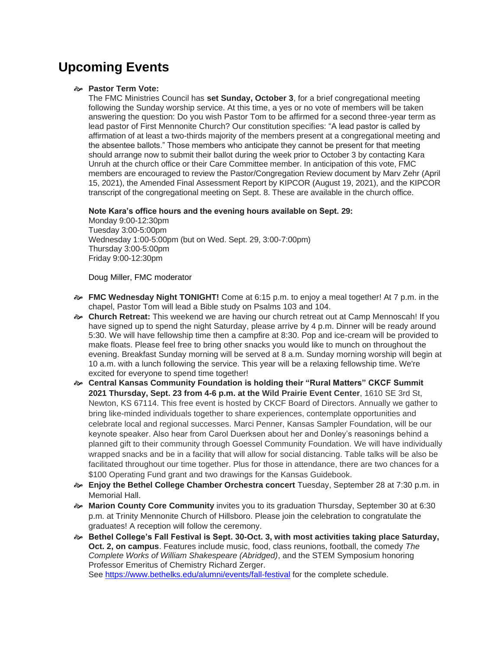## **Upcoming Events**

#### **Pastor Term Vote:**

The FMC Ministries Council has **set Sunday, October 3**, for a brief congregational meeting following the Sunday worship service. At this time, a yes or no vote of members will be taken answering the question: Do you wish Pastor Tom to be affirmed for a second three-year term as lead pastor of First Mennonite Church? Our constitution specifies: "A lead pastor is called by affirmation of at least a two-thirds majority of the members present at a congregational meeting and the absentee ballots." Those members who anticipate they cannot be present for that meeting should arrange now to submit their ballot during the week prior to October 3 by contacting Kara Unruh at the church office or their Care Committee member. In anticipation of this vote, FMC members are encouraged to review the Pastor/Congregation Review document by Marv Zehr (April 15, 2021), the Amended Final Assessment Report by KIPCOR (August 19, 2021), and the KIPCOR transcript of the congregational meeting on Sept. 8. These are available in the church office.

#### **Note Kara's office hours and the evening hours available on Sept. 29:**

Monday 9:00-12:30pm Tuesday 3:00-5:00pm Wednesday 1:00-5:00pm (but on Wed. Sept. 29, 3:00-7:00pm) Thursday 3:00-5:00pm Friday 9:00-12:30pm

#### Doug Miller, FMC moderator

- **FMC Wednesday Night TONIGHT!** Come at 6:15 p.m. to enjoy a meal together! At 7 p.m. in the chapel, Pastor Tom will lead a Bible study on Psalms 103 and 104.
- **Church Retreat:** This weekend we are having our church retreat out at Camp Mennoscah! If you have signed up to spend the night Saturday, please arrive by 4 p.m. Dinner will be ready around 5:30. We will have fellowship time then a campfire at 8:30. Pop and ice-cream will be provided to make floats. Please feel free to bring other snacks you would like to munch on throughout the evening. Breakfast Sunday morning will be served at 8 a.m. Sunday morning worship will begin at 10 a.m. with a lunch following the service. This year will be a relaxing fellowship time. We're excited for everyone to spend time together!
- **Central Kansas Community Foundation is holding their "Rural Matters" CKCF Summit 2021 Thursday, Sept. 23 from 4-6 p.m. at the Wild Prairie Event Center**, 1610 SE 3rd St, Newton, KS 67114. This free event is hosted by CKCF Board of Directors. Annually we gather to bring like-minded individuals together to share experiences, contemplate opportunities and celebrate local and regional successes. Marci Penner, Kansas Sampler Foundation, will be our keynote speaker. Also hear from Carol Duerksen about her and Donley's reasonings behind a planned gift to their community through Goessel Community Foundation. We will have individually wrapped snacks and be in a facility that will allow for social distancing. Table talks will be also be facilitated throughout our time together. Plus for those in attendance, there are two chances for a \$100 Operating Fund grant and two drawings for the Kansas Guidebook.
- **Enjoy the Bethel College Chamber Orchestra concert** Tuesday, September 28 at 7:30 p.m. in Memorial Hall.
- **Marion County Core Community** invites you to its graduation Thursday, September 30 at 6:30 p.m. at Trinity Mennonite Church of Hillsboro. Please join the celebration to congratulate the graduates! A reception will follow the ceremony.
- **Bethel College's Fall Festival is Sept. 30-Oct. 3, with most activities taking place Saturday, Oct. 2, on campus**. Features include music, food, class reunions, football, the comedy *The Complete Works of William Shakespeare (Abridged)*, and the STEM Symposium honoring Professor Emeritus of Chemistry Richard Zerger. See <https://www.bethelks.edu/alumni/events/fall-festival> for the complete schedule.